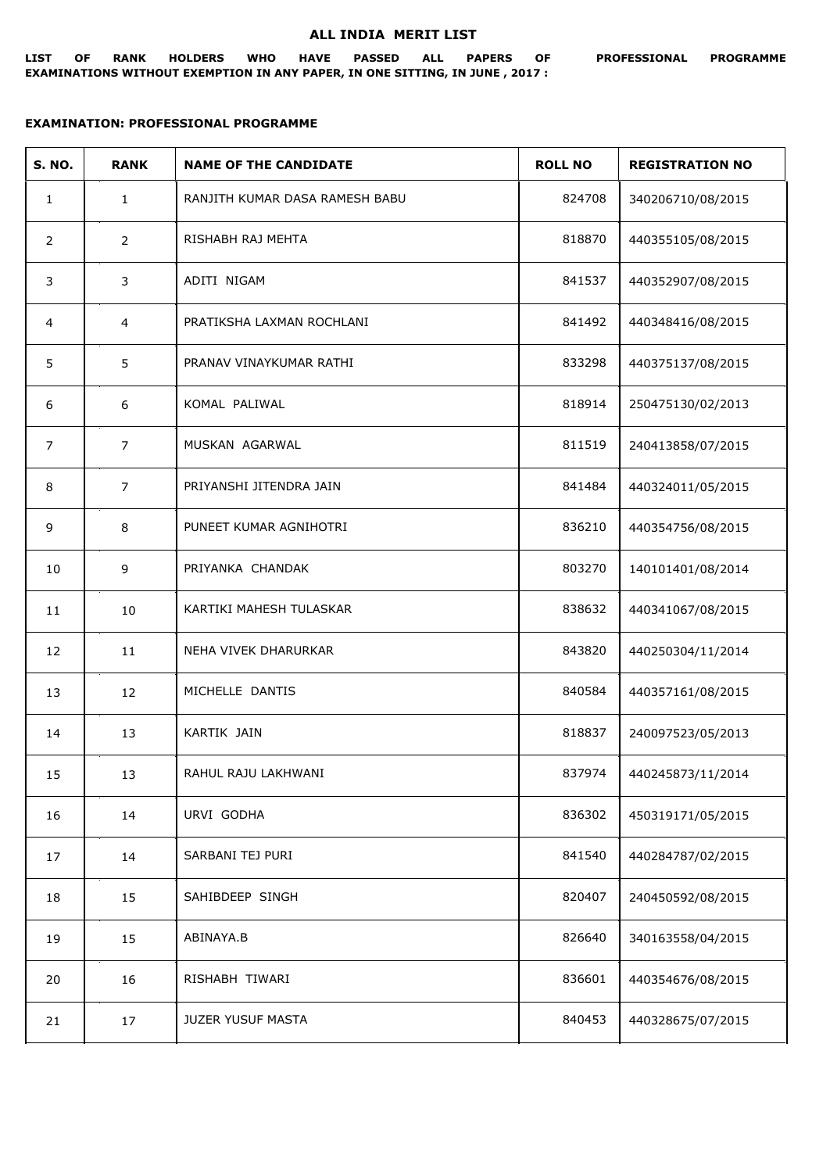## **ALL INDIA MERIT LIST**

## **EXAMINATION: PROFESSIONAL PROGRAMME**

| <b>S. NO.</b>  | <b>RANK</b>    | <b>NAME OF THE CANDIDATE</b>   | <b>ROLL NO</b> | <b>REGISTRATION NO</b> |
|----------------|----------------|--------------------------------|----------------|------------------------|
| $\mathbf{1}$   | $\mathbf{1}$   | RANJITH KUMAR DASA RAMESH BABU | 824708         | 340206710/08/2015      |
| $\overline{2}$ | $\overline{2}$ | RISHABH RAJ MEHTA              | 818870         | 440355105/08/2015      |
| 3              | 3              | ADITI NIGAM                    | 841537         | 440352907/08/2015      |
| 4              | $\overline{4}$ | PRATIKSHA LAXMAN ROCHLANI      | 841492         | 440348416/08/2015      |
| 5              | 5              | PRANAV VINAYKUMAR RATHI        | 833298         | 440375137/08/2015      |
| 6              | 6              | KOMAL PALIWAL                  | 818914         | 250475130/02/2013      |
| $\overline{7}$ | $\overline{7}$ | MUSKAN AGARWAL                 | 811519         | 240413858/07/2015      |
| 8              | $\overline{7}$ | PRIYANSHI JITENDRA JAIN        | 841484         | 440324011/05/2015      |
| 9              | 8              | PUNEET KUMAR AGNIHOTRI         | 836210         | 440354756/08/2015      |
| 10             | 9              | PRIYANKA CHANDAK               | 803270         | 140101401/08/2014      |
| 11             | 10             | KARTIKI MAHESH TULASKAR        | 838632         | 440341067/08/2015      |
| 12             | 11             | NEHA VIVEK DHARURKAR           | 843820         | 440250304/11/2014      |
| 13             | 12             | MICHELLE DANTIS                | 840584         | 440357161/08/2015      |
| 14             | 13             | KARTIK JAIN                    | 818837         | 240097523/05/2013      |
| 15             | 13             | RAHUL RAJU LAKHWANI            | 837974         | 440245873/11/2014      |
| 16             | 14             | URVI GODHA                     | 836302         | 450319171/05/2015      |
| 17             | 14             | SARBANI TEJ PURI               | 841540         | 440284787/02/2015      |
| 18             | 15             | SAHIBDEEP SINGH                | 820407         | 240450592/08/2015      |
| 19             | 15             | ABINAYA.B                      | 826640         | 340163558/04/2015      |
| 20             | 16             | RISHABH TIWARI                 | 836601         | 440354676/08/2015      |
| 21             | 17             | JUZER YUSUF MASTA              | 840453         | 440328675/07/2015      |